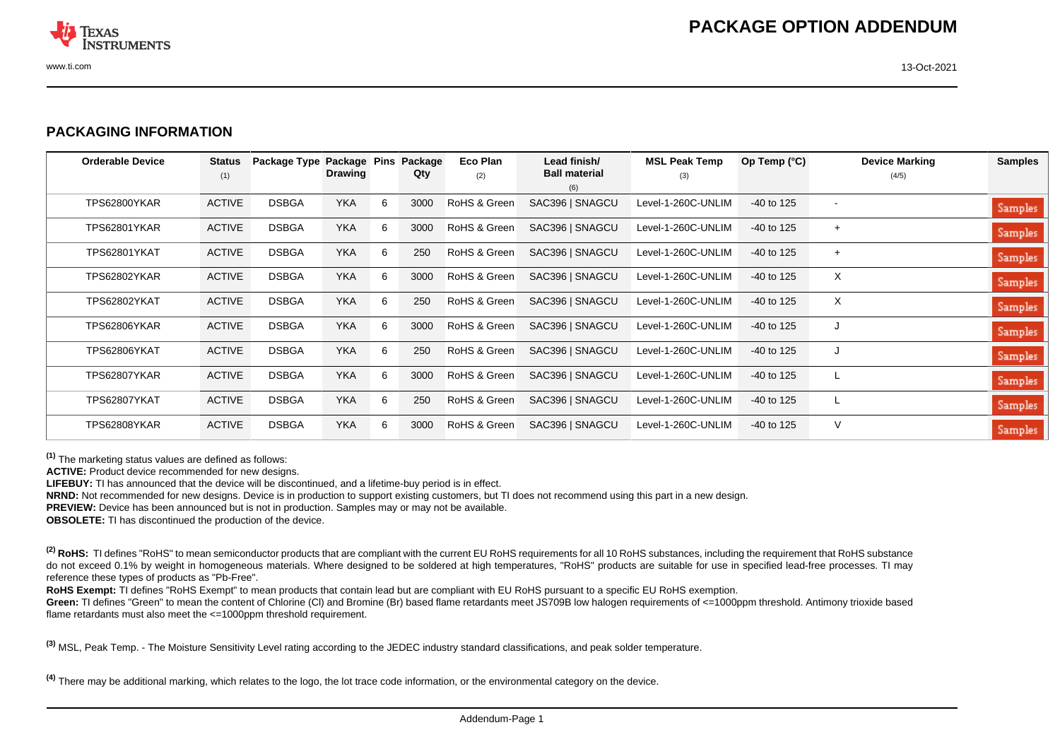

## **PACKAGING INFORMATION**

| <b>Orderable Device</b> | <b>Status</b><br>(1) | Package Type | Package Pins<br><b>Drawing</b> |   | Package<br>Qty | Eco Plan<br>(2) | Lead finish/<br><b>Ball material</b> | <b>MSL Peak Temp</b><br>(3) | Op Temp $(^{\circ}C)$ | <b>Device Marking</b><br>(4/5) | <b>Samples</b> |
|-------------------------|----------------------|--------------|--------------------------------|---|----------------|-----------------|--------------------------------------|-----------------------------|-----------------------|--------------------------------|----------------|
|                         |                      |              |                                |   |                |                 | (6)                                  |                             |                       |                                |                |
| TPS62800YKAR            | <b>ACTIVE</b>        | <b>DSBGA</b> | <b>YKA</b>                     | 6 | 3000           | RoHS & Green    | SAC396   SNAGCU                      | Level-1-260C-UNLIM          | $-40$ to 125          |                                | Samples        |
| TPS62801YKAR            | <b>ACTIVE</b>        | <b>DSBGA</b> | <b>YKA</b>                     | 6 | 3000           | RoHS & Green    | SAC396   SNAGCU                      | Level-1-260C-UNLIM          | $-40$ to 125          | $+$                            | Samples        |
| <b>TPS62801YKAT</b>     | <b>ACTIVE</b>        | <b>DSBGA</b> | <b>YKA</b>                     | 6 | 250            | RoHS & Green    | SAC396   SNAGCU                      | Level-1-260C-UNLIM          | $-40$ to 125          | $+$                            | Samples        |
| TPS62802YKAR            | <b>ACTIVE</b>        | <b>DSBGA</b> | <b>YKA</b>                     | 6 | 3000           | RoHS & Green    | SAC396   SNAGCU                      | Level-1-260C-UNLIM          | $-40$ to 125          | X                              | Samples        |
| TPS62802YKAT            | <b>ACTIVE</b>        | <b>DSBGA</b> | <b>YKA</b>                     | 6 | 250            | RoHS & Green    | SAC396   SNAGCU                      | Level-1-260C-UNLIM          | $-40$ to 125          | $\times$                       | Samples        |
| TPS62806YKAR            | <b>ACTIVE</b>        | <b>DSBGA</b> | <b>YKA</b>                     | 6 | 3000           | RoHS & Green    | SAC396   SNAGCU                      | Level-1-260C-UNLIM          | $-40$ to 125          | J                              | Samples        |
| TPS62806YKAT            | <b>ACTIVE</b>        | <b>DSBGA</b> | <b>YKA</b>                     | 6 | 250            | RoHS & Green    | SAC396   SNAGCU                      | Level-1-260C-UNLIM          | $-40$ to 125          | J                              | Samples        |
| TPS62807YKAR            | <b>ACTIVE</b>        | <b>DSBGA</b> | <b>YKA</b>                     | 6 | 3000           | RoHS & Green    | SAC396   SNAGCU                      | Level-1-260C-UNLIM          | $-40$ to 125          |                                | Samples        |
| TPS62807YKAT            | <b>ACTIVE</b>        | <b>DSBGA</b> | <b>YKA</b>                     | 6 | 250            | RoHS & Green    | SAC396   SNAGCU                      | Level-1-260C-UNLIM          | $-40$ to 125          |                                | Samples        |
| TPS62808YKAR            | <b>ACTIVE</b>        | <b>DSBGA</b> | <b>YKA</b>                     | 6 | 3000           | RoHS & Green    | SAC396   SNAGCU                      | Level-1-260C-UNLIM          | $-40$ to 125          | V                              | Samples        |

**(1)** The marketing status values are defined as follows:

**ACTIVE:** Product device recommended for new designs.

**LIFEBUY:** TI has announced that the device will be discontinued, and a lifetime-buy period is in effect.

**NRND:** Not recommended for new designs. Device is in production to support existing customers, but TI does not recommend using this part in a new design.

**PREVIEW:** Device has been announced but is not in production. Samples may or may not be available.

**OBSOLETE:** TI has discontinued the production of the device.

<sup>(2)</sup> RoHS: TI defines "RoHS" to mean semiconductor products that are compliant with the current EU RoHS requirements for all 10 RoHS substances, including the requirement that RoHS substance do not exceed 0.1% by weight in homogeneous materials. Where designed to be soldered at high temperatures, "RoHS" products are suitable for use in specified lead-free processes. TI may reference these types of products as "Pb-Free".

RoHS Exempt: TI defines "RoHS Exempt" to mean products that contain lead but are compliant with EU RoHS pursuant to a specific EU RoHS exemption.

Green: TI defines "Green" to mean the content of Chlorine (CI) and Bromine (Br) based flame retardants meet JS709B low halogen requirements of <=1000ppm threshold. Antimony trioxide based flame retardants must also meet the <=1000ppm threshold requirement.

**(3)** MSL, Peak Temp. - The Moisture Sensitivity Level rating according to the JEDEC industry standard classifications, and peak solder temperature.

**(4)** There may be additional marking, which relates to the logo, the lot trace code information, or the environmental category on the device.